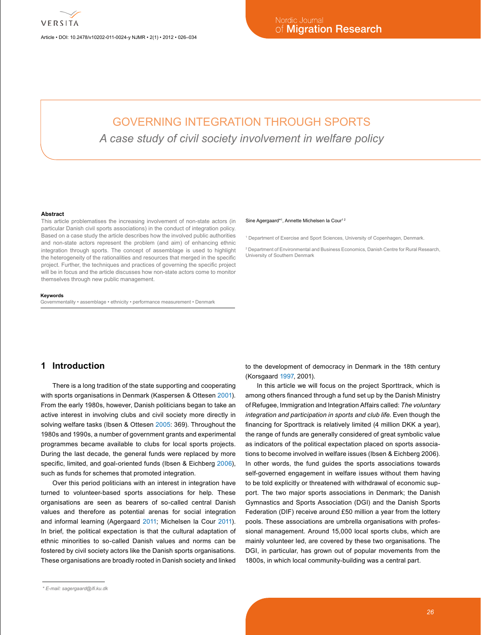Article • DOI: 10.2478/v10202-011-0024-y NJMR • 2(1) • 2012 • 026–034

# GOVERNING INTEGRATION THROUGH SPORTS *A case study of civil society involvement in welfare policy*

#### **Abstract**

This article problematises the increasing involvement of non-state actors (in particular Danish civil sports associations) in the conduct of integration policy. Based on a case study the article describes how the involved public authorities and non-state actors represent the problem (and aim) of enhancing ethnic integration through sports. The concept of assemblage is used to highlight the heterogeneity of the rationalities and resources that merged in the specific project. Further, the techniques and practices of governing the specific project will be in focus and the article discusses how non-state actors come to monitor themselves through new public management.

#### **Keywords**

Governmentality • assemblage • ethnicity • performance measurement • Denmark

#### Sine Agergaard\*1, Annette Michelsen la Cour<sup>12</sup>

1 Department of Exercise and Sport Sciences, University of Copenhagen, Denmark.

2 Department of Environmental and Business Economics, Danish Centre for Rural Research, University of Southern Denmark

#### **1 Introduction**

There is a long tradition of the state supporting and cooperating with sports organisations in Denmark (Kaspersen & Ottesen [2001](#page-8-0)). From the early 1980s, however, Danish politicians began to take an active interest in involving clubs and civil society more directly in solving welfare tasks (Ibsen & Ottesen [2005:](#page-8-1) 369). Throughout the 1980s and 1990s, a number of government grants and experimental programmes became available to clubs for local sports projects. During the last decade, the general funds were replaced by more specific, limited, and goal-oriented funds (Ibsen & Eichberg [2006](#page-8-2)), such as funds for schemes that promoted integration.

Over this period politicians with an interest in integration have turned to volunteer-based sports associations for help. These organisations are seen as bearers of so-called central Danish values and therefore as potential arenas for social integration and informal learning (Agergaard [2011;](#page-7-0) Michelsen la Cour [2011](#page-8-3)). In brief, the political expectation is that the cultural adaptation of ethnic minorities to so-called Danish values and norms can be fostered by civil society actors like the Danish sports organisations. These organisations are broadly rooted in Danish society and linked to the development of democracy in Denmark in the 18th century (Korsgaard [1997,](#page-8-4) 2001).

In this article we will focus on the project Sporttrack, which is among others financed through a fund set up by the Danish Ministry of Refugee, Immigration and Integration Affairs called: *The voluntary integration and participation in sports and club life*. Even though the financing for Sporttrack is relatively limited (4 million DKK a year), the range of funds are generally considered of great symbolic value as indicators of the political expectation placed on sports associations to become involved in welfare issues (Ibsen & Eichberg 2006). In other words, the fund guides the sports associations towards self-governed engagement in welfare issues without them having to be told explicitly or threatened with withdrawal of economic support. The two major sports associations in Denmark; the Danish Gymnastics and Sports Association (DGI) and the Danish Sports Federation (DIF) receive around £50 million a year from the lottery pools. These associations are umbrella organisations with professional management. Around 15,000 local sports clubs, which are mainly volunteer led, are covered by these two organisations. The DGI, in particular, has grown out of popular movements from the 1800s, in which local community-building was a central part.

*<sup>\*</sup> E-mail: [sagergaard@ifi.ku.dk](mailto:sagergaard@ifi.ku.dk)*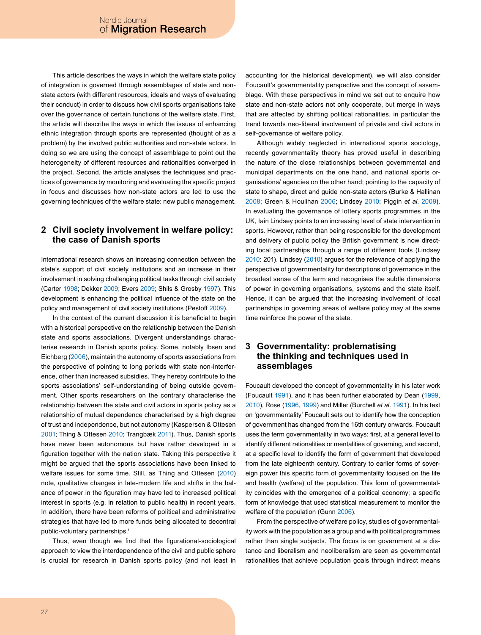This article describes the ways in which the welfare state policy of integration is governed through assemblages of state and nonstate actors (with different resources, ideals and ways of evaluating their conduct) in order to discuss how civil sports organisations take over the governance of certain functions of the welfare state. First, the article will describe the ways in which the issues of enhancing ethnic integration through sports are represented (thought of as a problem) by the involved public authorities and non-state actors. In doing so we are using the concept of assemblage to point out the heterogeneity of different resources and rationalities converged in the project. Second, the article analyses the techniques and practices of governance by monitoring and evaluating the specific project in focus and discusses how non-state actors are led to use the governing techniques of the welfare state: new public management.

### **2 Civil society involvement in welfare policy: the case of Danish sports**

International research shows an increasing connection between the state's support of civil society institutions and an increase in their involvement in solving challenging political tasks through civil society (Carter [1998](#page-7-1); Dekker [2009](#page-7-2); Evers [2009;](#page-7-3) Shils & Grosby [1997\)](#page-8-5). This development is enhancing the political influence of the state on the policy and management of civil society institutions (Pestoff [2009](#page-8-6)).

In the context of the current discussion it is beneficial to begin with a historical perspective on the relationship between the Danish state and sports associations. Divergent understandings characterise research in Danish sports policy. Some, notably Ibsen and Eichberg ([2006\)](#page-8-2), maintain the autonomy of sports associations from the perspective of pointing to long periods with state non-interference, other than increased subsidies. They hereby contribute to the sports associations' self-understanding of being outside government. Other sports researchers on the contrary characterise the relationship between the state and civil actors in sports policy as a relationship of mutual dependence characterised by a high degree of trust and independence, but not autonomy (Kaspersen & Ottesen [2001;](#page-8-0) Thing & Ottesen [2010](#page-8-7); Trangbæk 2011). Thus, Danish sports have never been autonomous but have rather developed in a figuration together with the nation state. Taking this perspective it might be argued that the sports associations have been linked to welfare issues for some time. Still, as Thing and Ottesen ([2010](#page-8-7)) note, qualitative changes in late-modern life and shifts in the balance of power in the figuration may have led to increased political interest in sports (e.g. in relation to public health) in recent years. In addition, there have been reforms of political and administrative strategies that have led to more funds being allocated to decentral public-voluntary partnerships[.1](#page-7-4)

Thus, even though we find that the figurational-sociological approach to view the interdependence of the civil and public sphere is crucial for research in Danish sports policy (and not least in accounting for the historical development), we will also consider Foucault's governmentality perspective and the concept of assemblage. With these perspectives in mind we set out to enquire how state and non-state actors not only cooperate, but merge in ways that are affected by shifting political rationalities, in particular the trend towards neo-liberal involvement of private and civil actors in self-governance of welfare policy.

Although widely neglected in international sports sociology, recently governmentality theory has proved useful in describing the nature of the close relationships between governmental and municipal departments on the one hand, and national sports organisations/ agencies on the other hand; pointing to the capacity of state to shape, direct and guide non-state actors (Burke & Hallinan [2008](#page-7-5); Green & Houlihan [2006;](#page-8-8) Lindsey [2010;](#page-8-9) Piggin *et al*. [2009](#page-8-10)). In evaluating the governance of lottery sports programmes in the UK, Iain Lindsey points to an increasing level of state intervention in sports. However, rather than being responsible for the development and delivery of public policy the British government is now directing local partnerships through a range of different tools (Lindsey [2010:](#page-8-9) 201). Lindsey [\(2010\)](#page-8-9) argues for the relevance of applying the perspective of governmentality for descriptions of governance in the broadest sense of the term and recognises the subtle dimensions of power in governing organisations, systems and the state itself. Hence, it can be argued that the increasing involvement of local partnerships in governing areas of welfare policy may at the same time reinforce the power of the state.

### **3 Governmentality: problematising the thinking and techniques used in assemblages**

Foucault developed the concept of governmentality in his later work (Foucault [1991\)](#page-7-6), and it has been further elaborated by Dean [\(1999,](#page-7-7) [2010\)](#page-7-8), Rose [\(1996](#page-8-11), [1999](#page-8-12)) and Miller (Burchell *et al*. [1991](#page-7-9)). In his text on 'governmentality' Foucault sets out to identify how the conception of government has changed from the 16th century onwards. Foucault uses the term governmentality in two ways: first, at a general level to identify different rationalities or mentalities of governing, and second, at a specific level to identify the form of government that developed from the late eighteenth century. Contrary to earlier forms of sovereign power this specific form of governmentality focused on the life and health (welfare) of the population. This form of governmentality coincides with the emergence of a political economy; a specific form of knowledge that used statistical measurement to monitor the welfare of the population (Gunn [2006\)](#page-8-13).

From the perspective of welfare policy, studies of governmentality work with the population as a group and with political programmes rather than single subjects. The focus is on government at a distance and liberalism and neoliberalism are seen as governmental rationalities that achieve population goals through indirect means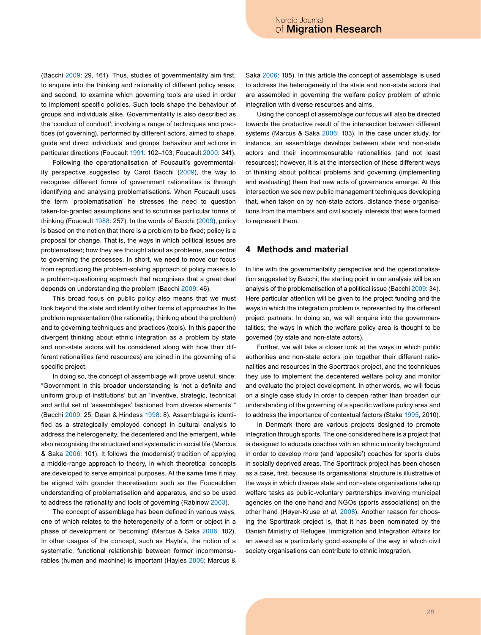(Bacchi [2009](#page-7-10): 29, 161). Thus, studies of governmentality aim first, to enquire into the thinking and rationality of different policy areas, and second, to examine which governing tools are used in order to implement specific policies. Such tools shape the behaviour of groups and individuals alike. Governmentality is also described as the 'conduct of conduct'; involving a range of techniques and practices (of governing), performed by different actors, aimed to shape, guide and direct individuals' and groups' behaviour and actions in particular directions (Foucault [1991](#page-7-6): 102–103; Foucault [2000:](#page-7-11) 341).

Following the operationalisation of Foucault's governmentality perspective suggested by Carol Bacchi [\(2009\)](#page-7-10), the way to recognise different forms of government rationalities is through identifying and analysing problematisations. When Foucault uses the term 'problematisation' he stresses the need to question taken-for-granted assumptions and to scrutinise particular forms of thinking (Foucault [1988:](#page-7-12) 257). In the words of Bacchi ([2009](#page-7-10)), policy is based on the notion that there is a problem to be fixed; policy is a proposal for change. That is, the ways in which political issues are problematised; how they are thought about as problems, are central to governing the processes. In short, we need to move our focus from reproducing the problem-solving approach of policy makers to a problem-questioning approach that recognises that a great deal depends on understanding the problem (Bacchi [2009:](#page-7-10) 46).

This broad focus on public policy also means that we must look beyond the state and identify other forms of approaches to the problem representation (the rationality; thinking about the problem) and to governing techniques and practices (tools). In this paper the divergent thinking about ethnic integration as a problem by state and non-state actors will be considered along with how their different rationalities (and resources) are joined in the governing of a specific project.

In doing so, the concept of assemblage will prove useful, since: "Government in this broader understanding is 'not a definite and uniform group of institutions' but an 'inventive, strategic, technical and artful set of 'assemblages' fashioned from diverse elements'." (Bacchi [2009](#page-7-10): 25; Dean & Hindess [1998](#page-7-7): 8). Assemblage is identified as a strategically employed concept in cultural analysis to address the heterogeneity, the decentered and the emergent, while also recognising the structured and systematic in social life (Marcus & Saka [2006](#page-8-14): 101). It follows the (modernist) tradition of applying a middle-range approach to theory, in which theoretical concepts are developed to serve empirical purposes. At the same time it may be aligned with grander theoretisation such as the Foucauldian understanding of problematisation and apparatus, and so be used to address the rationality and tools of governing (Rabinow [2003](#page-8-15)).

The concept of assemblage has been defined in various ways, one of which relates to the heterogeneity of a form or object in a phase of development or 'becoming' (Marcus & Saka [2006:](#page-8-14) 102). In other usages of the concept, such as Hayle's, the notion of a systematic, functional relationship between former incommensurables (human and machine) is important (Hayles [2006](#page-8-16); Marcus &

Saka [2006:](#page-8-14) 105). In this article the concept of assemblage is used to address the heterogeneity of the state and non-state actors that are assembled in governing the welfare policy problem of ethnic integration with diverse resources and aims.

Using the concept of assemblage our focus will also be directed towards the productive result of the intersection between different systems (Marcus & Saka [2006](#page-8-14): 103). In the case under study, for instance, an assemblage develops between state and non-state actors and their incommensurable rationalities (and not least resources); however, it is at the intersection of these different ways of thinking about political problems and governing (implementing and evaluating) them that new acts of governance emerge. At this intersection we see new public management techniques developing that, when taken on by non-state actors, distance these organisations from the members and civil society interests that were formed to represent them.

#### **4 Methods and material**

In line with the governmentality perspective and the operationalisation suggested by Bacchi, the starting point in our analysis will be an analysis of the problematisation of a political issue (Bacchi [2009](#page-7-10): 34). Here particular attention will be given to the project funding and the ways in which the integration problem is represented by the different project partners. In doing so, we will enquire into the governmentalities; the ways in which the welfare policy area is thought to be governed (by state and non-state actors).

Further, we will take a closer look at the ways in which public authorities and non-state actors join together their different rationalities and resources in the Sporttrack project, and the techniques they use to implement the decentered welfare policy and monitor and evaluate the project development. In other words, we will focus on a single case study in order to deepen rather than broaden our understanding of the governing of a specific welfare policy area and to address the importance of contextual factors (Stake [1995,](#page-8-17) 2010).

In Denmark there are various projects designed to promote integration through sports. The one considered here is a project that is designed to educate coaches with an ethnic minority background in order to develop more (and 'apposite') coaches for sports clubs in socially deprived areas. The Sporttrack project has been chosen as a case, first, because its organisational structure is illustrative of the ways in which diverse state and non-state organisations take up welfare tasks as public-voluntary partnerships involving municipal agencies on the one hand and NGOs (sports associations) on the other hand (Høyer-Kruse *et al*. 2008). Another reason for choosing the Sporttrack project is, that it has been nominated by the Danish Ministry of Refugee, Immigration and Integration Affairs for an award as a particularly good example of the way in which civil society organisations can contribute to ethnic integration.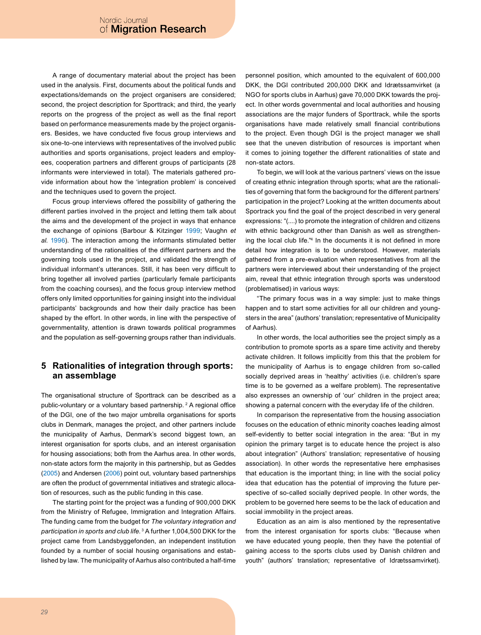A range of documentary material about the project has been used in the analysis. First, documents about the political funds and expectations/demands on the project organisers are considered; second, the project description for Sporttrack; and third, the yearly reports on the progress of the project as well as the final report based on performance measurements made by the project organisers. Besides, we have conducted five focus group interviews and six one-to-one interviews with representatives of the involved public authorities and sports organisations, project leaders and employees, cooperation partners and different groups of participants (28 informants were interviewed in total). The materials gathered provide information about how the 'integration problem' is conceived and the techniques used to govern the project.

Focus group interviews offered the possibility of gathering the different parties involved in the project and letting them talk about the aims and the development of the project in ways that enhance the exchange of opinions (Barbour & Kitzinger [1999](#page-7-13); Vaughn *et al*. [1996\)](#page-8-18). The interaction among the informants stimulated better understanding of the rationalities of the different partners and the governing tools used in the project, and validated the strength of individual informant's utterances. Still, it has been very difficult to bring together all involved parties (particularly female participants from the coaching courses), and the focus group interview method offers only limited opportunities for gaining insight into the individual participants' backgrounds and how their daily practice has been shaped by the effort. In other words, in line with the perspective of governmentality, attention is drawn towards political programmes and the population as self-governing groups rather than individuals.

### **5 Rationalities of integration through sports: an assemblage**

The organisational structure of Sporttrack can be described as a public-voluntary or a voluntary based partnership. [2](#page-7-14) A regional office of the DGI, one of the two major umbrella organisations for sports clubs in Denmark, manages the project, and other partners include the municipality of Aarhus, Denmark's second biggest town, an interest organisation for sports clubs, and an interest organisation for housing associations; both from the Aarhus area. In other words, non-state actors form the majority in this partnership, but as Geddes ([2005](#page-8-19)) and Andersen (2006) point out, voluntary based partnerships are often the product of governmental initiatives and strategic allocation of resources, such as the public funding in this case.

The starting point for the project was a funding of 900,000 DKK from the Ministry of Refugee, Immigration and Integration Affairs. The funding came from the budget for *The voluntary integration and participation in sports and club life.* [3](#page-7-15) A further 1,004,500 DKK for the project came from Landsbyggefonden, an independent institution founded by a number of social housing organisations and established by law. The municipality of Aarhus also contributed a half-time

personnel position, which amounted to the equivalent of 600,000 DKK, the DGI contributed 200,000 DKK and Idrætssamvirket (a NGO for sports clubs in Aarhus) gave 70,000 DKK towards the project. In other words governmental and local authorities and housing associations are the major funders of Sporttrack, while the sports organisations have made relatively small financial contributions to the project. Even though DGI is the project manager we shall see that the uneven distribution of resources is important when it comes to joining together the different rationalities of state and non-state actors.

To begin, we will look at the various partners' views on the issue of creating ethnic integration through sports; what are the rationalities of governing that form the background for the different partners' participation in the project? Looking at the written documents about Sportrack you find the goal of the project described in very general expressions: "(....) to promote the integration of children and citizens with ethnic background other than Danish as well as strengthening the local club life.["4](#page-7-16) In the documents it is not defined in more detail how integration is to be understood. However, materials gathered from a pre-evaluation when representatives from all the partners were interviewed about their understanding of the project aim, reveal that ethnic integration through sports was understood (problematised) in various ways:

"The primary focus was in a way simple: just to make things happen and to start some activities for all our children and youngsters in the area" (authors' translation; representative of Municipality of Aarhus).

In other words, the local authorities see the project simply as a contribution to promote sports as a spare time activity and thereby activate children. It follows implicitly from this that the problem for the municipality of Aarhus is to engage children from so-called socially deprived areas in 'healthy' activities (i.e. children's spare time is to be governed as a welfare problem). The representative also expresses an ownership of 'our' children in the project area; showing a paternal concern with the everyday life of the children.

In comparison the representative from the housing association focuses on the education of ethnic minority coaches leading almost self-evidently to better social integration in the area: "But in my opinion the primary target is to educate hence the project is also about integration" (Authors' translation; representative of housing association). In other words the representative here emphasises that education is the important thing; in line with the social policy idea that education has the potential of improving the future perspective of so-called socially deprived people. In other words, the problem to be governed here seems to be the lack of education and social immobility in the project areas.

Education as an aim is also mentioned by the representative from the interest organisation for sports clubs: "Because when we have educated young people, then they have the potential of gaining access to the sports clubs used by Danish children and youth" (authors' translation; representative of Idrætssamvirket).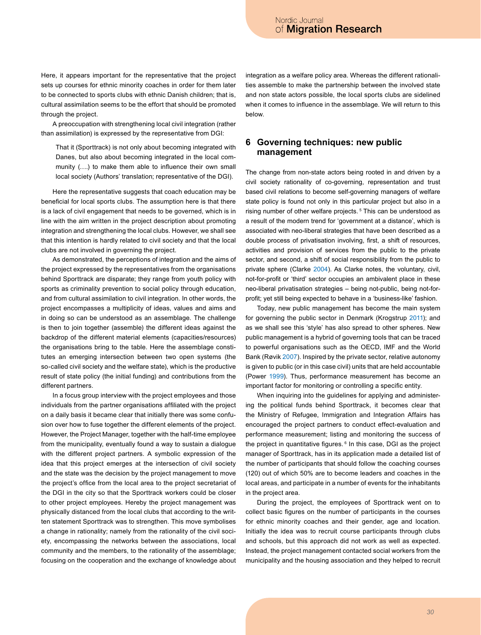Here, it appears important for the representative that the project sets up courses for ethnic minority coaches in order for them later to be connected to sports clubs with ethnic Danish children; that is, cultural assimilation seems to be the effort that should be promoted through the project.

A preoccupation with strengthening local civil integration (rather than assimilation) is expressed by the representative from DGI:

That it (Sporttrack) is not only about becoming integrated with Danes, but also about becoming integrated in the local community (….) to make them able to influence their own small local society (Authors' translation; representative of the DGI).

Here the representative suggests that coach education may be beneficial for local sports clubs. The assumption here is that there is a lack of civil engagement that needs to be governed, which is in line with the aim written in the project description about promoting integration and strengthening the local clubs. However, we shall see that this intention is hardly related to civil society and that the local clubs are not involved in governing the project.

As demonstrated, the perceptions of integration and the aims of the project expressed by the representatives from the organisations behind Sporttrack are disparate; they range from youth policy with sports as criminality prevention to social policy through education, and from cultural assimilation to civil integration. In other words, the project encompasses a multiplicity of ideas, values and aims and in doing so can be understood as an assemblage. The challenge is then to join together (assemble) the different ideas against the backdrop of the different material elements (capacities/resources) the organisations bring to the table. Here the assemblage constitutes an emerging intersection between two open systems (the so-called civil society and the welfare state), which is the productive result of state policy (the initial funding) and contributions from the different partners.

In a focus group interview with the project employees and those individuals from the partner organisations affiliated with the project on a daily basis it became clear that initially there was some confusion over how to fuse together the different elements of the project. However, the Project Manager, together with the half-time employee from the municipality, eventually found a way to sustain a dialogue with the different project partners. A symbolic expression of the idea that this project emerges at the intersection of civil society and the state was the decision by the project management to move the project's office from the local area to the project secretariat of the DGI in the city so that the Sporttrack workers could be closer to other project employees. Hereby the project management was physically distanced from the local clubs that according to the written statement Sporttrack was to strengthen. This move symbolises a change in rationality; namely from the rationality of the civil society, encompassing the networks between the associations, local community and the members, to the rationality of the assemblage; focusing on the cooperation and the exchange of knowledge about

integration as a welfare policy area. Whereas the different rationalities assemble to make the partnership between the involved state and non state actors possible, the local sports clubs are sidelined when it comes to influence in the assemblage. We will return to this below.

### **6 Governing techniques: new public management**

The change from non-state actors being rooted in and driven by a civil society rationality of co-governing, representation and trust based civil relations to become self-governing managers of welfare state policy is found not only in this particular project but also in a rising number of other welfare projects. [5](#page-7-17) This can be understood as a result of the modern trend for 'government at a distance', which is associated with neo-liberal strategies that have been described as a double process of privatisation involving, first, a shift of resources, activities and provision of services from the public to the private sector, and second, a shift of social responsibility from the public to private sphere (Clarke [2004](#page-7-18)). As Clarke notes, the voluntary, civil, not-for-profit or 'third' sector occupies an ambivalent place in these neo-liberal privatisation strategies – being not-public, being not-forprofit; yet still being expected to behave in a 'business-like' fashion.

Today, new public management has become the main system for governing the public sector in Denmark (Krogstrup [2011\)](#page-8-20); and as we shall see this 'style' has also spread to other spheres. New public management is a hybrid of governing tools that can be traced to powerful organisations such as the OECD, IMF and the World Bank (Røvik 2007). Inspired by the private sector, relative autonomy is given to public (or in this case civil) units that are held accountable (Power [1999](#page-8-21)). Thus, performance measurement has become an important factor for monitoring or controlling a specific entity.

When inquiring into the guidelines for applying and administering the political funds behind Sporttrack, it becomes clear that the Ministry of Refugee, Immigration and Integration Affairs has encouraged the project partners to conduct effect-evaluation and performance measurement; listing and monitoring the success of the project in quantitative figures. 6 In this case, DGI as the project manager of Sporttrack, has in its application made a detailed list of the number of participants that should follow the coaching courses (120) out of which 50% are to become leaders and coaches in the local areas, and participate in a number of events for the inhabitants in the project area.

During the project, the employees of Sporttrack went on to collect basic figures on the number of participants in the courses for ethnic minority coaches and their gender, age and location. Initially the idea was to recruit course participants through clubs and schools, but this approach did not work as well as expected. Instead, the project management contacted social workers from the municipality and the housing association and they helped to recruit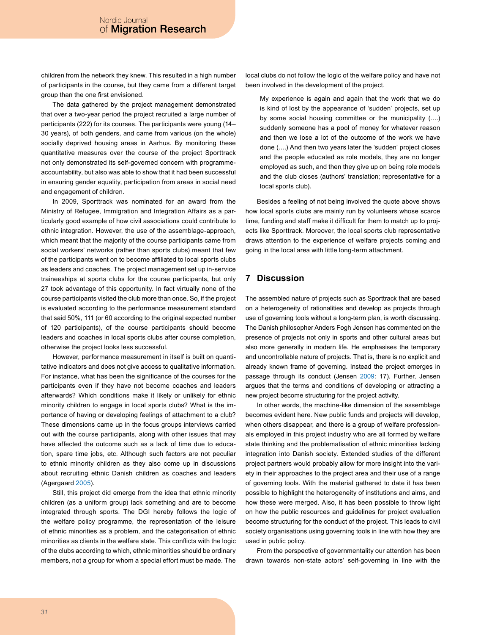children from the network they knew. This resulted in a high number of participants in the course, but they came from a different target group than the one first envisioned.

The data gathered by the project management demonstrated that over a two-year period the project recruited a large number of participants (222) for its courses. The participants were young (14– 30 years), of both genders, and came from various (on the whole) socially deprived housing areas in Aarhus. By monitoring these quantitative measures over the course of the project Sporttrack not only demonstrated its self-governed concern with programmeaccountability, but also was able to show that it had been successful in ensuring gender equality, participation from areas in social need and engagement of children.

In 2009, Sporttrack was nominated for an award from the Ministry of Refugee, Immigration and Integration Affairs as a particularly good example of how civil associations could contribute to ethnic integration. However, the use of the assemblage-approach, which meant that the majority of the course participants came from social workers' networks (rather than sports clubs) meant that few of the participants went on to become affiliated to local sports clubs as leaders and coaches. The project management set up in-service traineeships at sports clubs for the course participants, but only 27 took advantage of this opportunity. In fact virtually none of the course participants visited the club more than once. So, if the project is evaluated according to the performance measurement standard that said 50%, 111 (or 60 according to the original expected number of 120 participants), of the course participants should become leaders and coaches in local sports clubs after course completion, otherwise the project looks less successful.

However, performance measurement in itself is built on quantitative indicators and does not give access to qualitative information. For instance, what has been the significance of the courses for the participants even if they have not become coaches and leaders afterwards? Which conditions make it likely or unlikely for ethnic minority children to engage in local sports clubs? What is the importance of having or developing feelings of attachment to a club? These dimensions came up in the focus groups interviews carried out with the course participants, along with other issues that may have affected the outcome such as a lack of time due to education, spare time jobs, etc. Although such factors are not peculiar to ethnic minority children as they also come up in discussions about recruiting ethnic Danish children as coaches and leaders (Agergaard [2005](#page-7-19)).

Still, this project did emerge from the idea that ethnic minority children (as a uniform group) lack something and are to become integrated through sports. The DGI hereby follows the logic of the welfare policy programme, the representation of the leisure of ethnic minorities as a problem, and the categorisation of ethnic minorities as clients in the welfare state. This conflicts with the logic of the clubs according to which, ethnic minorities should be ordinary members, not a group for whom a special effort must be made. The local clubs do not follow the logic of the welfare policy and have not been involved in the development of the project.

My experience is again and again that the work that we do is kind of lost by the appearance of 'sudden' projects, set up by some social housing committee or the municipality (….) suddenly someone has a pool of money for whatever reason and then we lose a lot of the outcome of the work we have done (….) And then two years later the 'sudden' project closes and the people educated as role models, they are no longer employed as such, and then they give up on being role models and the club closes (authors' translation; representative for a local sports club).

Besides a feeling of not being involved the quote above shows how local sports clubs are mainly run by volunteers whose scarce time, funding and staff make it difficult for them to match up to projects like Sporttrack. Moreover, the local sports club representative draws attention to the experience of welfare projects coming and going in the local area with little long-term attachment.

## **7 Discussion**

The assembled nature of projects such as Sporttrack that are based on a heterogeneity of rationalities and develop as projects through use of governing tools without a long-term plan, is worth discussing. The Danish philosopher Anders Fogh Jensen has commented on the presence of projects not only in sports and other cultural areas but also more generally in modern life. He emphasises the temporary and uncontrollable nature of projects. That is, there is no explicit and already known frame of governing. Instead the project emerges in passage through its conduct (Jensen [2009:](#page-8-22) 17). Further, Jensen argues that the terms and conditions of developing or attracting a new project become structuring for the project activity.

In other words, the machine-like dimension of the assemblage becomes evident here. New public funds and projects will develop, when others disappear, and there is a group of welfare professionals employed in this project industry who are all formed by welfare state thinking and the problematisation of ethnic minorities lacking integration into Danish society. Extended studies of the different project partners would probably allow for more insight into the variety in their approaches to the project area and their use of a range of governing tools. With the material gathered to date it has been possible to highlight the heterogeneity of institutions and aims, and how these were merged. Also, it has been possible to throw light on how the public resources and guidelines for project evaluation become structuring for the conduct of the project. This leads to civil society organisations using governing tools in line with how they are used in public policy.

From the perspective of governmentality our attention has been drawn towards non-state actors' self-governing in line with the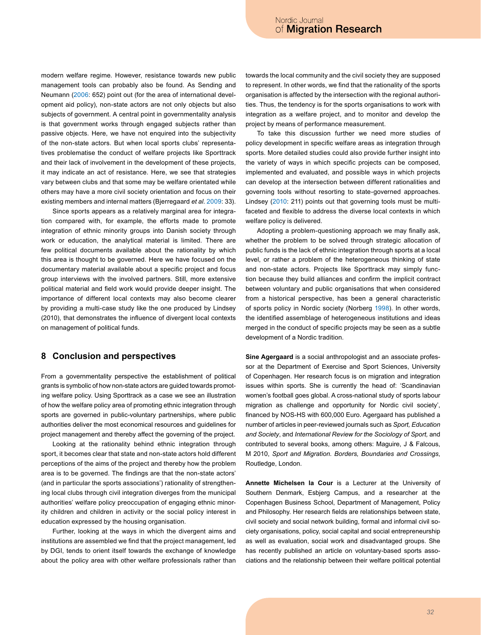modern welfare regime. However, resistance towards new public management tools can probably also be found. As Sending and Neumann [\(2006:](#page-8-23) 652) point out (for the area of international development aid policy), non-state actors are not only objects but also subjects of government. A central point in governmentality analysis is that government works through engaged subjects rather than passive objects. Here, we have not enquired into the subjectivity of the non-state actors. But when local sports clubs' representatives problematise the conduct of welfare projects like Sporttrack and their lack of involvement in the development of these projects, it may indicate an act of resistance. Here, we see that strategies vary between clubs and that some may be welfare orientated while others may have a more civil society orientation and focus on their existing members and internal matters (Bjerregaard *et al*. [2009](#page-7-20): 33).

Since sports appears as a relatively marginal area for integration compared with, for example, the efforts made to promote integration of ethnic minority groups into Danish society through work or education, the analytical material is limited. There are few political documents available about the rationality by which this area is thought to be governed. Here we have focused on the documentary material available about a specific project and focus group interviews with the involved partners. Still, more extensive political material and field work would provide deeper insight. The importance of different local contexts may also become clearer by providing a multi-case study like the one produced by Lindsey (2010), that demonstrates the influence of divergent local contexts on management of political funds.

#### **8 Conclusion and perspectives**

From a governmentality perspective the establishment of political grants is symbolic of how non-state actors are guided towards promoting welfare policy. Using Sporttrack as a case we see an illustration of how the welfare policy area of promoting ethnic integration through sports are governed in public-voluntary partnerships, where public authorities deliver the most economical resources and guidelines for project management and thereby affect the governing of the project.

Looking at the rationality behind ethnic integration through sport, it becomes clear that state and non-state actors hold different perceptions of the aims of the project and thereby how the problem area is to be governed. The findings are that the non-state actors' (and in particular the sports associations') rationality of strengthening local clubs through civil integration diverges from the municipal authorities' welfare policy preoccupation of engaging ethnic minority children and children in activity or the social policy interest in education expressed by the housing organisation.

Further, looking at the ways in which the divergent aims and institutions are assembled we find that the project management, led by DGI, tends to orient itself towards the exchange of knowledge about the policy area with other welfare professionals rather than towards the local community and the civil society they are supposed to represent. In other words, we find that the rationality of the sports organisation is affected by the intersection with the regional authorities. Thus, the tendency is for the sports organisations to work with integration as a welfare project, and to monitor and develop the project by means of performance measurement.

To take this discussion further we need more studies of policy development in specific welfare areas as integration through sports. More detailed studies could also provide further insight into the variety of ways in which specific projects can be composed, implemented and evaluated, and possible ways in which projects can develop at the intersection between different rationalities and governing tools without resorting to state-governed approaches. Lindsey ([2010](#page-8-9): 211) points out that governing tools must be multifaceted and flexible to address the diverse local contexts in which welfare policy is delivered.

Adopting a problem-questioning approach we may finally ask, whether the problem to be solved through strategic allocation of public funds is the lack of ethnic integration through sports at a local level, or rather a problem of the heterogeneous thinking of state and non-state actors. Projects like Sporttrack may simply function because they build alliances and confirm the implicit contract between voluntary and public organisations that when considered from a historical perspective, has been a general characteristic of sports policy in Nordic society (Norberg [1998\)](#page-8-24). In other words, the identified assemblage of heterogeneous institutions and ideas merged in the conduct of specific projects may be seen as a subtle development of a Nordic tradition.

**Sine Agergaard** is a social anthropologist and an associate professor at the Department of Exercise and Sport Sciences, University of Copenhagen. Her research focus is on migration and integration issues within sports. She is currently the head of: 'Scandinavian women's football goes global. A cross-national study of sports labour migration as challenge and opportunity for Nordic civil society', financed by NOS-HS with 600,000 Euro. Agergaard has published a number of articles in peer-reviewed journals such as *Sport, Education and Society*, and *International Review for the Sociology of Sport,* and contributed to several books, among others: Maguire, J & Falcous, M 2010, *Sport and Migration. Borders, Boundaries and Crossings*, Routledge, London.

**Annette Michelsen la Cour** is a Lecturer at the University of Southern Denmark, Esbjerg Campus, and a researcher at the Copenhagen Business School, Department of Management, Policy and Philosophy. Her research fields are relationships between state, civil society and social network building, formal and informal civil society organisations, policy, social capital and social entrepreneurship as well as evaluation, social work and disadvantaged groups. She has recently published an article on voluntary-based sports associations and the relationship between their welfare political potential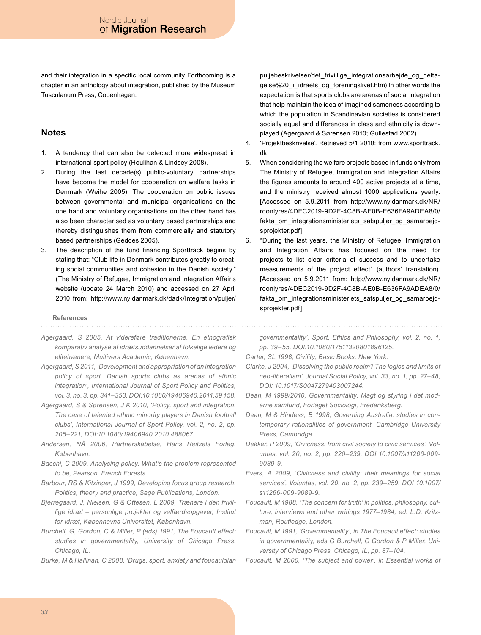and their integration in a specific local community Forthcoming is a chapter in an anthology about integration, published by the Museum Tusculanum Press, Copenhagen.

### **Notes**

- <span id="page-7-4"></span>1. A tendency that can also be detected more widespread in international sport policy (Houlihan & Lindsey 2008).
- <span id="page-7-14"></span>2. During the last decade(s) public-voluntary partnerships have become the model for cooperation on welfare tasks in Denmark (Weihe 2005). The cooperation on public issues between governmental and municipal organisations on the one hand and voluntary organisations on the other hand has also been characterised as voluntary based partnerships and thereby distinguishes them from commercially and statutory based partnerships (Geddes 2005).
- <span id="page-7-15"></span>3. The description of the fund financing Sporttrack begins by stating that: "Club life in Denmark contributes greatly to creating social communities and cohesion in the Danish society." (The Ministry of Refugee, Immigration and Integration Affair's website (update 24 March 2010) and accessed on 27 April 2010 from: [http://www.nyidanmark.dk/dadk/Integration/puljer/](http://www.nyidanmark.dk/dadk/Integration/puljer/ puljebeskrivelser/det_frivillige_integrationsarbejde_og_deltagelse _i_idraets_og_foreningslivet.htm)

[puljebeskrivelser/det\\_frivillige\\_integrationsarbejde\\_og\\_delta](http://www.nyidanmark.dk/dadk/Integration/puljer/ puljebeskrivelser/det_frivillige_integrationsarbejde_og_deltagelse _i_idraets_og_foreningslivet.htm)[gelse%20\\_i\\_idraets\\_og\\_foreningslivet.htm\)](http://www.nyidanmark.dk/dadk/Integration/puljer/ puljebeskrivelser/det_frivillige_integrationsarbejde_og_deltagelse _i_idraets_og_foreningslivet.htm) In other words the expectation is that sports clubs are arenas of social integration that help maintain the idea of imagined sameness according to which the population in Scandinavian societies is considered socially equal and differences in class and ethnicity is downplayed (Agergaard & Sørensen 2010; Gullestad 2002).

- <span id="page-7-16"></span>4. 'Projektbeskrivelse'. Retrieved 5/1 2010: from [www.sporttrack.](http://www.sporttrack.dk) [dk](http://www.sporttrack.dk)
- <span id="page-7-17"></span>5. When considering the welfare projects based in funds only from The Ministry of Refugee, Immigration and Integration Affairs the figures amounts to around 400 active projects at a time, and the ministry received almost 1000 applications yearly. [Accessed on 5.9.2011 from [http://www.nyidanmark.dk/NR/](http://www.nyidanmark.dk/NR/rdonlyres/4DEC2019-9D2F-4C8B-AE0B-E636FA9ADEA8/0/fakta_om_integrationsministeriets_satspuljer_og_samarbejdsprojekter.pdf) [rdonlyres/4DEC2019-9D2F-4C8B-AE0B-E636FA9ADEA8/0/](http://www.nyidanmark.dk/NR/rdonlyres/4DEC2019-9D2F-4C8B-AE0B-E636FA9ADEA8/0/fakta_om_integrationsministeriets_satspuljer_og_samarbejdsprojekter.pdf) [fakta\\_om\\_integrationsministeriets\\_satspuljer\\_og\\_samarbejd](http://www.nyidanmark.dk/NR/rdonlyres/4DEC2019-9D2F-4C8B-AE0B-E636FA9ADEA8/0/fakta_om_integrationsministeriets_satspuljer_og_samarbejdsprojekter.pdf)[sprojekter.pdf\]](http://www.nyidanmark.dk/NR/rdonlyres/4DEC2019-9D2F-4C8B-AE0B-E636FA9ADEA8/0/fakta_om_integrationsministeriets_satspuljer_og_samarbejdsprojekter.pdf)
- 6. "During the last years, the Ministry of Refugee, Immigration and Integration Affairs has focused on the need for projects to list clear criteria of success and to undertake measurements of the project effect" (authors' translation). [Accessed on 5.9.2011 from: [http://www.nyidanmark.dk/NR/](http://www.nyidanmark.dk/NR/rdonlyres/4DEC2019-9D2F-4C8B-AE0B-E636FA9ADEA8/0/fakta_om_integrationsministeriets_satspuljer_og_samarbejdsprojekter.pdf) [rdonlyres/4DEC2019-9D2F-4C8B-AE0B-E636FA9ADEA8/0/](http://www.nyidanmark.dk/NR/rdonlyres/4DEC2019-9D2F-4C8B-AE0B-E636FA9ADEA8/0/fakta_om_integrationsministeriets_satspuljer_og_samarbejdsprojekter.pdf) [fakta\\_om\\_integrationsministeriets\\_satspuljer\\_og\\_samarbejd](http://www.nyidanmark.dk/NR/rdonlyres/4DEC2019-9D2F-4C8B-AE0B-E636FA9ADEA8/0/fakta_om_integrationsministeriets_satspuljer_og_samarbejdsprojekter.pdf)[sprojekter.pdf\]](http://www.nyidanmark.dk/NR/rdonlyres/4DEC2019-9D2F-4C8B-AE0B-E636FA9ADEA8/0/fakta_om_integrationsministeriets_satspuljer_og_samarbejdsprojekter.pdf)

# **References**

- <span id="page-7-19"></span>*Agergaard, S 2005, At videreføre traditionerne. En etnografisk komparativ analyse af idrætsuddannelser af folkelige ledere og elitetrænere, Multivers Academic, København.*
- <span id="page-7-0"></span>*Agergaard, S 2011, 'Development and appropriation of an integration policy of sport. Danish sports clubs as arenas of ethnic integration', International Journal of Sport Policy and Politics, vol. 3, no. 3, pp. 341–353, DOI:10.1080/19406940.2011.59 158.*
- *Agergaard, S & Sørensen, J K 2010, 'Policy, sport and integration. The case of talented ethnic minority players in Danish football clubs', International Journal of Sport Policy, vol. 2, no. 2, pp. 205–221, DOI:10.1080/19406940.2010.488067.*
- *Andersen, NÅ 2006, Partnerskabelse, Hans Reitzels Forlag, København.*
- <span id="page-7-10"></span>*Bacchi, C 2009, Analysing policy: What's the problem represented to be, Pearson, French Forests.*
- <span id="page-7-13"></span>*Barbour, RS & Kitzinger, J 1999, Developing focus group research. Politics, theory and practice, Sage Publications, London.*
- <span id="page-7-20"></span>*Bjerregaard, J, Nielsen, G & Ottesen, L 2009, Trænere i den frivillige idræt – personlige projekter og velfærdsopgaver, Institut for Idræt, Københavns Universitet, København.*
- <span id="page-7-9"></span>*Burchell, G, Gordon, C & Miller, P (eds) 1991, The Foucault effect: studies in governmentality, University of Chicago Press, Chicago, IL.*
- <span id="page-7-5"></span>*[Burke](http://philpapers.org/s/Michael Burke), M & [Hallinan,](http://philpapers.org/s/Christopher Hallinan) C 2008, 'Drugs, sport, anxiety and foucauldian*

*governmentality', Sport, Ethics and Philosophy, vol. 2, no. 1, pp. 39–55, DOI:10.1080/17511320801896125.*

<span id="page-7-1"></span>*Carter, SL 1998, Civility, Basic Books, New York.*

- <span id="page-7-18"></span>*Clarke, J 2004, 'Dissolving the public realm? The logics and limits of neo-liberalism', Journal Social Policy, vol. 33, no. 1, pp. 27–48, DOI: 10.1017/S0047279403007244.*
- <span id="page-7-8"></span>*Dean, M 1999/2010, Governmentality. Magt og styring i det moderne samfund, Forlaget Sociologi, Frederiksberg.*
- <span id="page-7-7"></span>*Dean, M & Hindess, B 1998, Governing Australia: studies in contemporary rationalities of government, Cambridge University Press, Cambridge.*
- <span id="page-7-2"></span>*Dekker, P 2009, 'Civicness: from civil society to civic services', Voluntas, vol. 20, no. 2, pp. 220–239, DOI 10.1007/s11266-009- 9089-9.*
- <span id="page-7-3"></span>*Evers, A 2009, 'Civicness and civility: their meanings for social services', Voluntas, vol. 20, no. 2, pp. 239–259, DOI 10.1007/ s11266-009-9089-9.*
- <span id="page-7-12"></span>*Foucault, M 1988, 'The concern for truth' in politics, philosophy, culture, interviews and other writings 1977–1984, ed. L.D. Kritzman, Routledge, London.*
- <span id="page-7-6"></span>*Foucault, M 1991, 'Governmentality', in The Foucault effect: studies in governmentality, eds G Burchell, C Gordon & P Miller, University of Chicago Press, Chicago, IL, pp. 87–104.*
- <span id="page-7-11"></span>*Foucault, M 2000, 'The subject and power', in Essential works of*